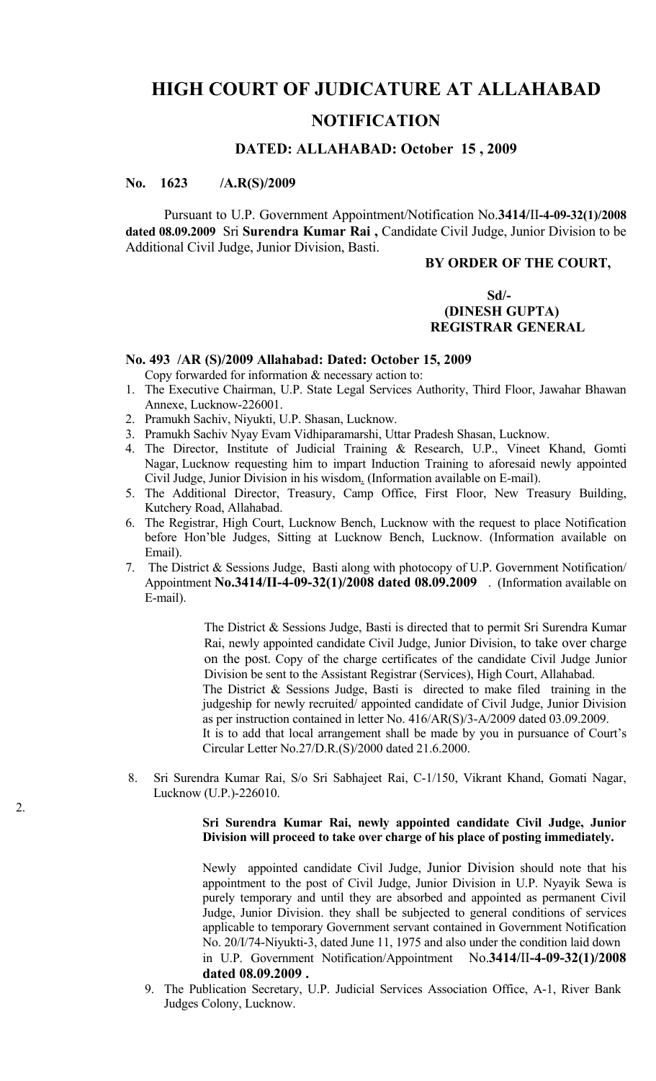# **HIGH COURT OF JUDICATURE AT ALLAHABAD**

# **NOTIFICATION**

# **DATED: ALLAHABAD: October 15 , 2009**

# **No. 1623 /A.R(S)/2009**

Pursuant to U.P. Government Appointment/Notification No.**3414/**II**-4-09-32(1)/2008 dated 08.09.2009** Sri **Surendra Kumar Rai ,** Candidate Civil Judge, Junior Division to be Additional Civil Judge, Junior Division, Basti.

#### **BY ORDER OF THE COURT,**

## **Sd/- (DINESH GUPTA) REGISTRAR GENERAL**

### **No. 493 /AR (S)/2009 Allahabad: Dated: October 15, 2009**

Copy forwarded for information & necessary action to:

- 1. The Executive Chairman, U.P. State Legal Services Authority, Third Floor, Jawahar Bhawan Annexe, Lucknow-226001.
- 2. Pramukh Sachiv, Niyukti, U.P. Shasan, Lucknow.
- 3. Pramukh Sachiv Nyay Evam Vidhiparamarshi, Uttar Pradesh Shasan, Lucknow.
- 4. The Director, Institute of Judicial Training & Research, U.P., Vineet Khand, Gomti Nagar, Lucknow requesting him to impart Induction Training to aforesaid newly appointed Civil Judge, Junior Division in his wisdom. (Information available on E-mail).
- 5. The Additional Director, Treasury, Camp Office, First Floor, New Treasury Building, Kutchery Road, Allahabad.
- 6. The Registrar, High Court, Lucknow Bench, Lucknow with the request to place Notification before Hon'ble Judges, Sitting at Lucknow Bench, Lucknow. (Information available on Email).
- 7. The District & Sessions Judge, Basti along with photocopy of U.P. Government Notification/ Appointment **No.3414/II-4-09-32(1)/2008 dated 08.09.2009** . (Information available on E-mail).

The District & Sessions Judge, Basti is directed that to permit Sri Surendra Kumar Rai, newly appointed candidate Civil Judge, Junior Division, to take over charge on the post. Copy of the charge certificates of the candidate Civil Judge Junior Division be sent to the Assistant Registrar (Services), High Court, Allahabad. The District & Sessions Judge, Basti is directed to make filed training in the judgeship for newly recruited/ appointed candidate of Civil Judge, Junior Division as per instruction contained in letter No. 416/AR(S)/3-A/2009 dated 03.09.2009. It is to add that local arrangement shall be made by you in pursuance of Court's Circular Letter No.27/D.R.(S)/2000 dated 21.6.2000.

8. Sri Surendra Kumar Rai, S/o Sri Sabhajeet Rai, C-1/150, Vikrant Khand, Gomati Nagar, Lucknow (U.P.)-226010.

#### **Sri Surendra Kumar Rai, newly appointed candidate Civil Judge, Junior Division will proceed to take over charge of his place of posting immediately.**

Newly appointed candidate Civil Judge, Junior Division should note that his appointment to the post of Civil Judge, Junior Division in U.P. Nyayik Sewa is purely temporary and until they are absorbed and appointed as permanent Civil Judge, Junior Division. they shall be subjected to general conditions of services applicable to temporary Government servant contained in Government Notification No. 20/I/74-Niyukti-3, dated June 11, 1975 and also under the condition laid down in U.P. Government Notification/Appointment No.**3414/**II**-4-09-32(1)/2008 dated 08.09.2009 .**

9. The Publication Secretary, U.P. Judicial Services Association Office, A-1, River Bank Judges Colony, Lucknow.